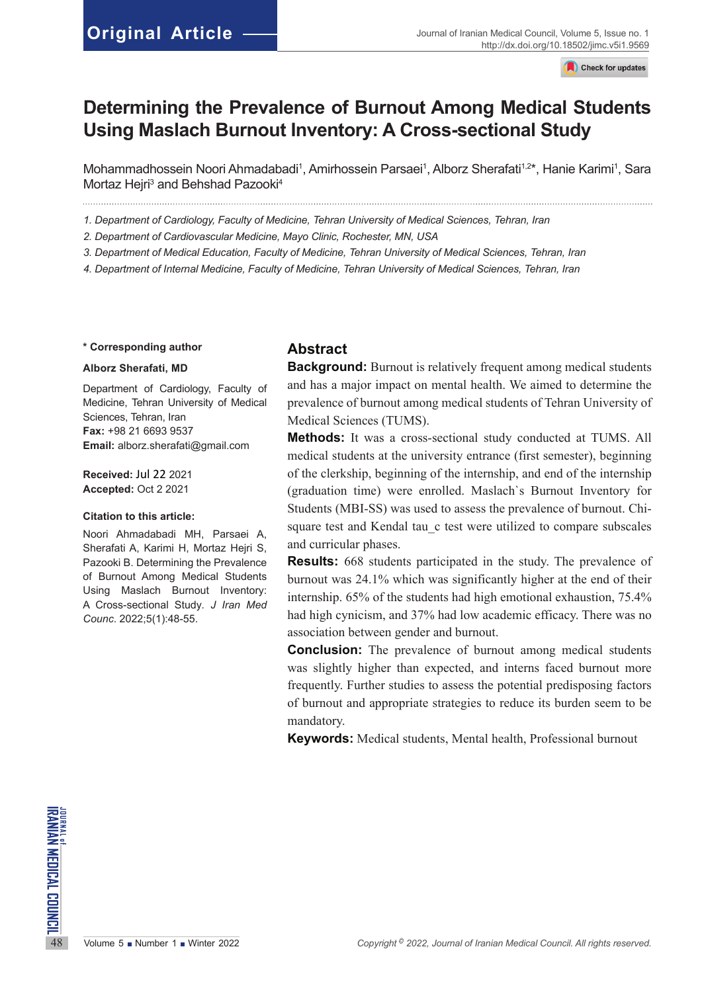Check for updates

# **Determining the Prevalence of Burnout Among Medical Students Using Maslach Burnout Inventory: A Cross-sectional Study**

Mohammadhossein Noori Ahmadabadi<sup>1</sup>, Amirhossein Parsaei<sup>1</sup>, Alborz Sherafati<sup>1,2</sup>\*, Hanie Karimi<sup>1</sup>, Sara Mortaz Hejri<sup>3</sup> and Behshad Pazooki<sup>4</sup>

*1. Department of Cardiology, Faculty of Medicine, Tehran University of Medical Sciences, Tehran, Iran*

- *2. Department of Cardiovascular Medicine, Mayo Clinic, Rochester, MN, USA*
- *3. Department of Medical Education, Faculty of Medicine, Tehran University of Medical Sciences, Tehran, Iran*

*4. Department of Internal Medicine, Faculty of Medicine, Tehran University of Medical Sciences, Tehran, Iran*

#### **\* Corresponding author**

#### **Alborz Sherafati, MD**

Department of Cardiology, Faculty of Medicine, Tehran University of Medical Sciences, Tehran, Iran **Fax:** +98 21 6693 9537 **Email:** [alborz.sherafati@gmail.com](mailto:alborz.sherafati@gmail.com)

**Received:** Jul 22 2021 **Accepted:** Oct 2 2021

#### **Citation to this article:**

Noori Ahmadabadi MH, Parsaei A, Sherafati A, Karimi H, Mortaz Hejri S, Pazooki B. Determining the Prevalence of Burnout Among Medical Students Using Maslach Burnout Inventory: A Cross-sectional Study*. J Iran Med Counc*. 2022;5(1):48-55.

# **Abstract**

**Background:** Burnout is relatively frequent among medical students and has a major impact on mental health. We aimed to determine the prevalence of burnout among medical students of Tehran University of Medical Sciences (TUMS).

**Methods:** It was a cross-sectional study conducted at TUMS. All medical students at the university entrance (first semester), beginning of the clerkship, beginning of the internship, and end of the internship (graduation time) were enrolled. Maslach`s Burnout Inventory for Students (MBI-SS) was used to assess the prevalence of burnout. Chisquare test and Kendal tau c test were utilized to compare subscales and curricular phases.

**Results:** 668 students participated in the study. The prevalence of burnout was 24.1% which was significantly higher at the end of their internship. 65% of the students had high emotional exhaustion, 75.4% had high cynicism, and 37% had low academic efficacy. There was no association between gender and burnout.

**Conclusion:** The prevalence of burnout among medical students was slightly higher than expected, and interns faced burnout more frequently. Further studies to assess the potential predisposing factors of burnout and appropriate strategies to reduce its burden seem to be mandatory.

**Keywords:** Medical students, Mental health, Professional burnout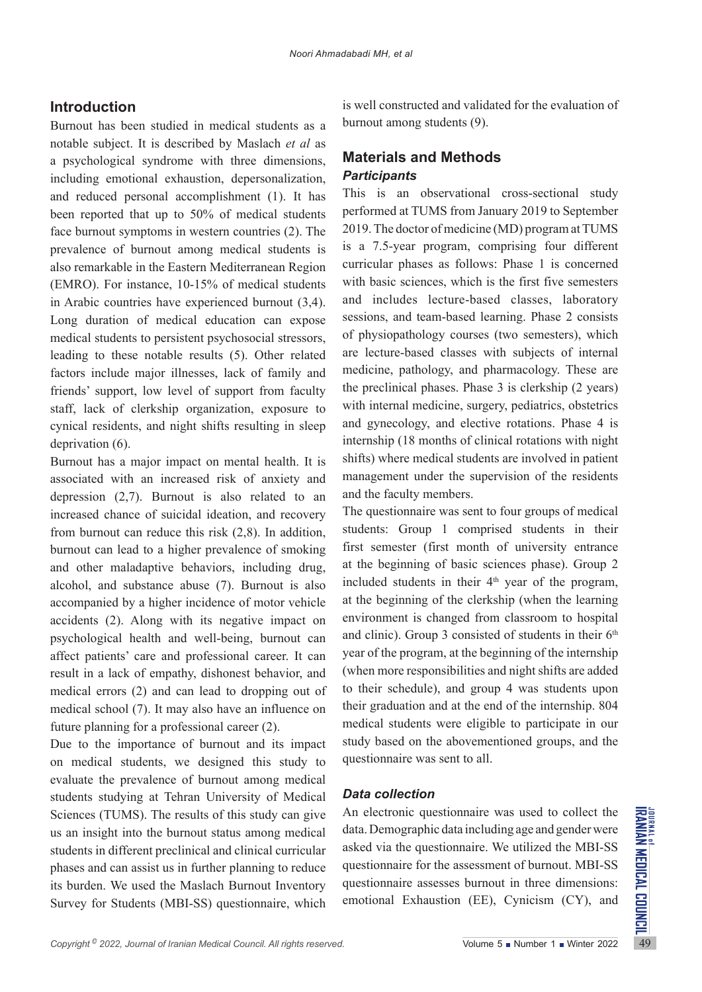# **Introduction**

Burnout has been studied in medical students as a notable subject. It is described by Maslach *et al* as a psychological syndrome with three dimensions, including emotional exhaustion, depersonalization, and reduced personal accomplishment (1). It has been reported that up to 50% of medical students face burnout symptoms in western countries (2). The prevalence of burnout among medical students is also remarkable in the Eastern Mediterranean Region (EMRO). For instance, 10-15% of medical students in Arabic countries have experienced burnout (3,4). Long duration of medical education can expose medical students to persistent psychosocial stressors, leading to these notable results (5). Other related factors include major illnesses, lack of family and friends' support, low level of support from faculty staff, lack of clerkship organization, exposure to cynical residents, and night shifts resulting in sleep deprivation (6).

Burnout has a major impact on mental health. It is associated with an increased risk of anxiety and depression (2,7). Burnout is also related to an increased chance of suicidal ideation, and recovery from burnout can reduce this risk (2,8). In addition, burnout can lead to a higher prevalence of smoking and other maladaptive behaviors, including drug, alcohol, and substance abuse (7). Burnout is also accompanied by a higher incidence of motor vehicle accidents (2). Along with its negative impact on psychological health and well-being, burnout can affect patients' care and professional career. It can result in a lack of empathy, dishonest behavior, and medical errors (2) and can lead to dropping out of medical school (7). It may also have an influence on future planning for a professional career (2).

Sciences (TUMS). The results of this study can give An electronic questionnaire was used to collect the use an insight into the burnout status among medical data. Demographic data including age and gender were students in Due to the importance of burnout and its impact on medical students, we designed this study to evaluate the prevalence of burnout among medical students studying at Tehran University of Medical Sciences (TUMS). The results of this study can give us an insight into the burnout status among medical students in different preclinical and clinical curricular phases and can assist us in further planning to reduce its burden. We used the Maslach Burnout Inventory Survey for Students (MBI-SS) questionnaire, which

is well constructed and validated for the evaluation of burnout among students (9).

# **Materials and Methods** *Participants*

This is an observational cross-sectional study performed at TUMS from January 2019 to September 2019. The doctor of medicine (MD) program at TUMS is a 7.5-year program, comprising four different curricular phases as follows: Phase 1 is concerned with basic sciences, which is the first five semesters and includes lecture-based classes, laboratory sessions, and team-based learning. Phase 2 consists of physiopathology courses (two semesters), which are lecture-based classes with subjects of internal medicine, pathology, and pharmacology. These are the preclinical phases. Phase 3 is clerkship (2 years) with internal medicine, surgery, pediatrics, obstetrics and gynecology, and elective rotations. Phase 4 is internship (18 months of clinical rotations with night shifts) where medical students are involved in patient management under the supervision of the residents and the faculty members.

The questionnaire was sent to four groups of medical students: Group 1 comprised students in their first semester (first month of university entrance at the beginning of basic sciences phase). Group 2 included students in their  $4<sup>th</sup>$  year of the program, at the beginning of the clerkship (when the learning environment is changed from classroom to hospital and clinic). Group 3 consisted of students in their  $6<sup>th</sup>$ year of the program, at the beginning of the internship (when more responsibilities and night shifts are added to their schedule), and group 4 was students upon their graduation and at the end of the internship. 804 medical students were eligible to participate in our study based on the abovementioned groups, and the questionnaire was sent to all.

## *Data collection*

An electronic questionnaire was used to collect the data. Demographic data including age and gender were asked via the questionnaire. We utilized the MBI-SS questionnaire for the assessment of burnout. MBI-SS questionnaire assesses burnout in three dimensions: emotional Exhaustion (EE), Cynicism (CY), and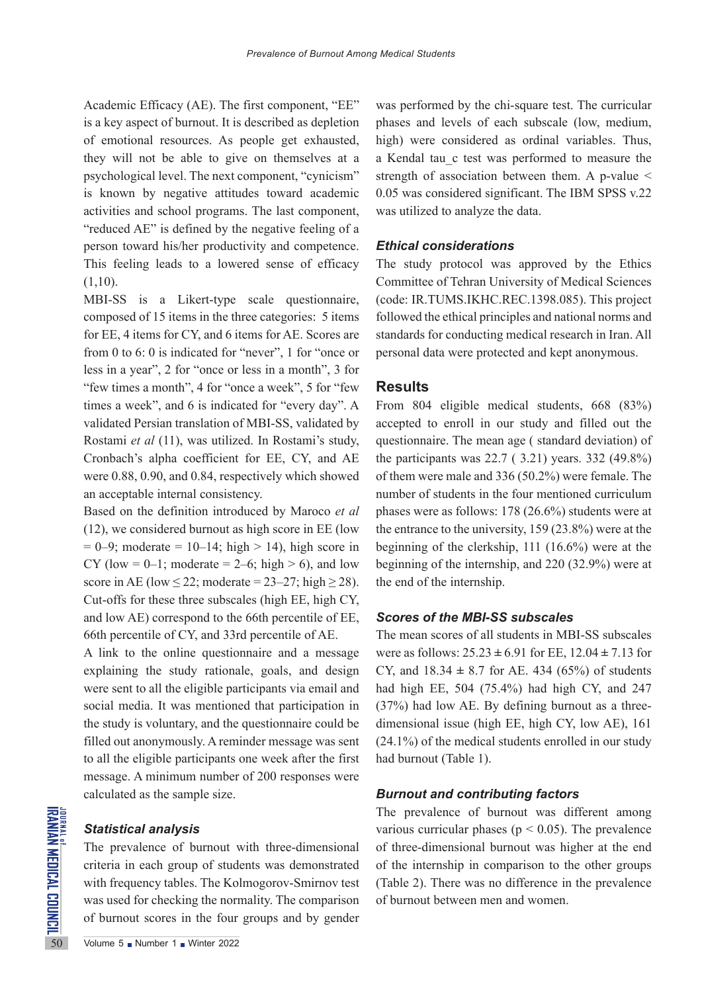Academic Efficacy (AE). The first component, "EE" is a key aspect of burnout. It is described as depletion of emotional resources. As people get exhausted, they will not be able to give on themselves at a psychological level. The next component, "cynicism" is known by negative attitudes toward academic activities and school programs. The last component, "reduced AE" is defined by the negative feeling of a person toward his/her productivity and competence. This feeling leads to a lowered sense of efficacy  $(1,10)$ .

MBI-SS is a Likert-type scale questionnaire, composed of 15 items in the three categories: 5 items for EE, 4 items for CY, and 6 items for AE. Scores are from 0 to 6: 0 is indicated for "never", 1 for "once or less in a year", 2 for "once or less in a month", 3 for "few times a month", 4 for "once a week", 5 for "few times a week", and 6 is indicated for "every day". A validated Persian translation of MBI-SS, validated by Rostami *et al* (11), was utilized. In Rostami's study, Cronbach's alpha coefficient for EE, CY, and AE were 0.88, 0.90, and 0.84, respectively which showed an acceptable internal consistency.

Based on the definition introduced by Maroco *et al* (12), we considered burnout as high score in EE (low  $= 0-9$ ; moderate  $= 10-14$ ; high  $> 14$ ), high score in CY (low = 0–1; moderate = 2–6; high > 6), and low score in AE (low  $\leq$  22; moderate = 23–27; high  $\geq$  28). Cut-offs for these three subscales (high EE, high CY, and low AE) correspond to the 66th percentile of EE, 66th percentile of CY, and 33rd percentile of AE.

A link to the online questionnaire and a message explaining the study rationale, goals, and design were sent to all the eligible participants via email and social media. It was mentioned that participation in the study is voluntary, and the questionnaire could be filled out anonymously. A reminder message was sent to all the eligible participants one week after the first message. A minimum number of 200 responses were calculated as the sample size.

#### *Statistical analysis*

**Statistical analysis**<br>
Statistical analysis<br>
The prevalence of burnout v<br>
criteria in each group of stud<br>
with frequency tables. The Ko<br>
was used for checking the norm<br>
of burnout scores in the four<br>
So<br>
Volume 5 Number 1 The prevalence of burnout with three-dimensional criteria in each group of students was demonstrated with frequency tables. The Kolmogorov-Smirnov test was used for checking the normality. The comparison of burnout scores in the four groups and by gender

was performed by the chi-square test. The curricular phases and levels of each subscale (low, medium, high) were considered as ordinal variables. Thus, a Kendal tau\_c test was performed to measure the strength of association between them. A p-value < 0.05 was considered significant. The IBM SPSS v.22 was utilized to analyze the data.

### *Ethical considerations*

The study protocol was approved by the Ethics Committee of Tehran University of Medical Sciences (code: IR.TUMS.IKHC.REC.1398.085). This project followed the ethical principles and national norms and standards for conducting medical research in Iran. All personal data were protected and kept anonymous.

#### **Results**

From 804 eligible medical students, 668 (83%) accepted to enroll in our study and filled out the questionnaire. The mean age ( standard deviation) of the participants was  $22.7$  ( $3.21$ ) years.  $332$  (49.8%) of them were male and 336 (50.2%) were female. The number of students in the four mentioned curriculum phases were as follows: 178 (26.6%) students were at the entrance to the university, 159 (23.8%) were at the beginning of the clerkship, 111 (16.6%) were at the beginning of the internship, and 220 (32.9%) were at the end of the internship.

## *Scores of the MBI-SS subscales*

The mean scores of all students in MBI-SS subscales were as follows: 25.23 **±** 6.91 for EE, 12.04 **±** 7.13 for CY, and  $18.34 \pm 8.7$  for AE. 434 (65%) of students had high EE, 504 (75.4%) had high CY, and 247 (37%) had low AE. By defining burnout as a threedimensional issue (high EE, high CY, low AE), 161 (24.1%) of the medical students enrolled in our study had burnout [\(Table 1\)](#page-2-0).

### <span id="page-2-0"></span>*Burnout and contributing factors*

The prevalence of burnout was different among various curricular phases ( $p < 0.05$ ). The prevalence of three-dimensional burnout was higher at the end of the internship in comparison to the other groups (Table 2). There was no difference in the prevalence of burnout between men and women.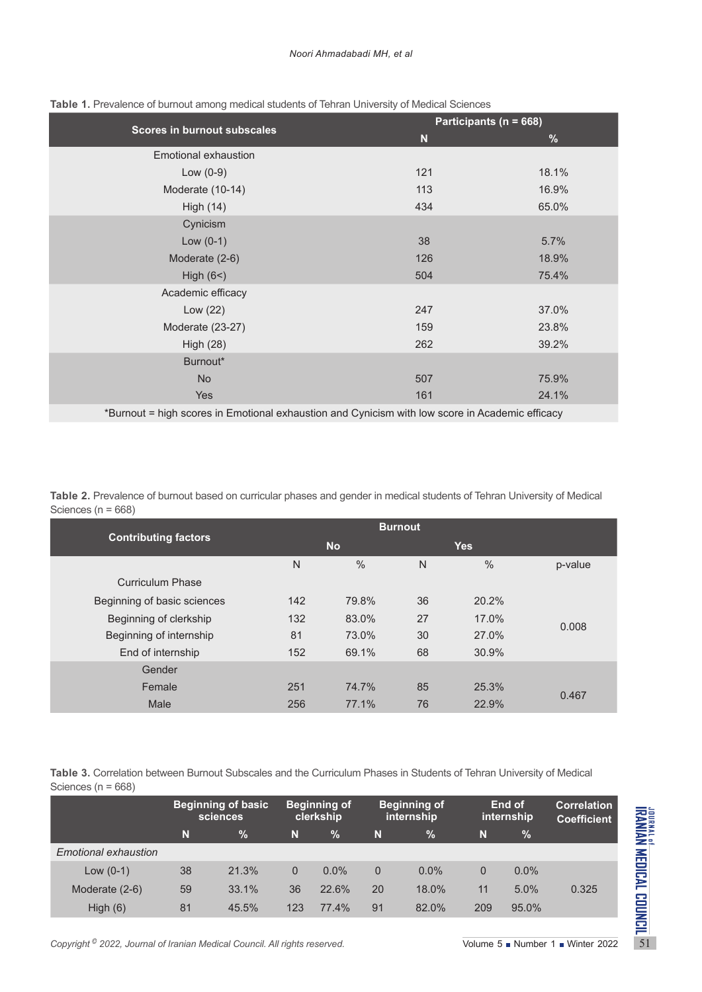|                                                                                                 |     | Participants (n = 668) |  |  |  |  |  |
|-------------------------------------------------------------------------------------------------|-----|------------------------|--|--|--|--|--|
| Scores in burnout subscales                                                                     | N   | $\%$                   |  |  |  |  |  |
| Emotional exhaustion                                                                            |     |                        |  |  |  |  |  |
| Low $(0-9)$                                                                                     | 121 | 18.1%                  |  |  |  |  |  |
| Moderate (10-14)                                                                                | 113 | 16.9%                  |  |  |  |  |  |
| High (14)                                                                                       | 434 | 65.0%                  |  |  |  |  |  |
| Cynicism                                                                                        |     |                        |  |  |  |  |  |
| Low $(0-1)$                                                                                     | 38  | 5.7%                   |  |  |  |  |  |
| Moderate (2-6)                                                                                  | 126 | 18.9%                  |  |  |  |  |  |
| High $(6<)$                                                                                     | 504 | 75.4%                  |  |  |  |  |  |
| Academic efficacy                                                                               |     |                        |  |  |  |  |  |
| Low $(22)$                                                                                      | 247 | 37.0%                  |  |  |  |  |  |
| Moderate (23-27)                                                                                | 159 | 23.8%                  |  |  |  |  |  |
| <b>High (28)</b>                                                                                | 262 | 39.2%                  |  |  |  |  |  |
| Burnout*                                                                                        |     |                        |  |  |  |  |  |
| <b>No</b>                                                                                       | 507 | 75.9%                  |  |  |  |  |  |
| <b>Yes</b>                                                                                      | 161 | 24.1%                  |  |  |  |  |  |
| *Burnout - bigh scores in Emotional exhaustion and Cynicism with low score in Academic efficacy |     |                        |  |  |  |  |  |

#### **Table 1.** Prevalence of burnout among medical students of Tehran University of Medical Sciences

\*Burnout = high scores in Emotional exhaustion and Cynicism with low score in Academic efficacy

**Table 2.** Prevalence of burnout based on curricular phases and gender in medical students of Tehran University of Medical Sciences (n = 668)

| <b>Contributing factors</b> |     | <b>No</b> |    | <b>Yes</b> |         |
|-----------------------------|-----|-----------|----|------------|---------|
|                             | N   | $\%$      | N  | $\%$       | p-value |
| <b>Curriculum Phase</b>     |     |           |    |            |         |
| Beginning of basic sciences | 142 | 79.8%     | 36 | 20.2%      |         |
| Beginning of clerkship      | 132 | 83.0%     | 27 | 17.0%      | 0.008   |
| Beginning of internship     | 81  | 73.0%     | 30 | 27.0%      |         |
| End of internship           | 152 | 69.1%     | 68 | 30.9%      |         |
| Gender                      |     |           |    |            |         |
| Female                      | 251 | 74.7%     | 85 | 25.3%      | 0.467   |
| Male                        | 256 | 77.1%     | 76 | 22.9%      |         |

**Table 3.** Correlation between Burnout Subscales and the Curriculum Phases in Students of Tehran University of Medical Sciences (n = 668)

|                                                                                       | <b>Beginning of basic</b><br>sciences |       |     | <b>Beginning of</b><br>clerkship |             | <b>Beginning of</b><br>internship |     | End of<br>internship          | <b>Correlation</b><br><b>Coefficient</b> |  |
|---------------------------------------------------------------------------------------|---------------------------------------|-------|-----|----------------------------------|-------------|-----------------------------------|-----|-------------------------------|------------------------------------------|--|
|                                                                                       | N                                     | $\%$  | N   | %                                | N           | $\%$                              | N   | %                             |                                          |  |
| Emotional exhaustion                                                                  |                                       |       |     |                                  |             |                                   |     |                               |                                          |  |
| Low $(0-1)$                                                                           | 38                                    | 21.3% | 0   | $0.0\%$                          | $\mathbf 0$ | $0.0\%$                           | 0   | $0.0\%$                       |                                          |  |
| Moderate (2-6)                                                                        | 59                                    | 33.1% | 36  | 22.6%                            | 20          | 18.0%                             | 11  | 5.0%                          | 0.325                                    |  |
| High $(6)$                                                                            | 81                                    | 45.5% | 123 | 77.4%                            | 91          | 82.0%                             | 209 | 95.0%                         |                                          |  |
|                                                                                       |                                       |       |     |                                  |             |                                   |     |                               |                                          |  |
| Copyright <sup>©</sup> 2022, Journal of Iranian Medical Council. All rights reserved. |                                       |       |     |                                  |             |                                   |     | Volume 5 Number 1 Winter 2022 |                                          |  |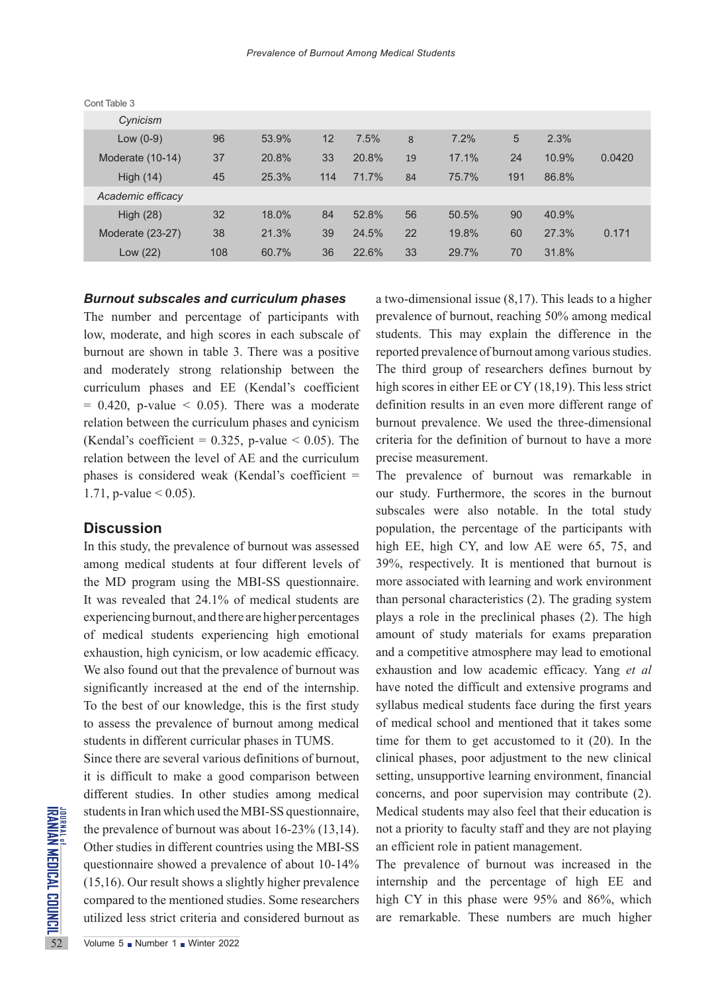| Cont Table 3      |     |       |     |       |    |       |     |       |        |
|-------------------|-----|-------|-----|-------|----|-------|-----|-------|--------|
| Cynicism          |     |       |     |       |    |       |     |       |        |
| Low $(0-9)$       | 96  | 53.9% | 12  | 7.5%  | 8  | 7.2%  | 5   | 2.3%  |        |
| Moderate (10-14)  | 37  | 20.8% | 33  | 20.8% | 19 | 17.1% | 24  | 10.9% | 0.0420 |
| High $(14)$       | 45  | 25.3% | 114 | 71.7% | 84 | 75.7% | 191 | 86.8% |        |
| Academic efficacy |     |       |     |       |    |       |     |       |        |
| High $(28)$       | 32  | 18.0% | 84  | 52.8% | 56 | 50.5% | 90  | 40.9% |        |
| Moderate (23-27)  | 38  | 21.3% | 39  | 24.5% | 22 | 19.8% | 60  | 27.3% | 0.171  |
| Low (22)          | 108 | 60.7% | 36  | 22.6% | 33 | 29.7% | 70  | 31.8% |        |

Cont Table 3

## *Burnout subscales and curriculum phases*

The number and percentage of participants with low, moderate, and high scores in each subscale of burnout are shown in table 3. There was a positive and moderately strong relationship between the curriculum phases and EE (Kendal's coefficient  $= 0.420$ , p-value  $< 0.05$ ). There was a moderate relation between the curriculum phases and cynicism (Kendal's coefficient =  $0.325$ , p-value < 0.05). The relation between the level of AE and the curriculum phases is considered weak (Kendal's coefficient = 1.71, p-value  $< 0.05$ ).

## **Discussion**

In this study, the prevalence of burnout was assessed among medical students at four different levels of the MD program using the MBI-SS questionnaire. It was revealed that 24.1% of medical students are experiencing burnout, and there are higher percentages of medical students experiencing high emotional exhaustion, high cynicism, or low academic efficacy. We also found out that the prevalence of burnout was significantly increased at the end of the internship. To the best of our knowledge, this is the first study to assess the prevalence of burnout among medical students in different curricular phases in TUMS.

students in Iran which used the<br>the prevalence of burnout was<br>Other studies in different coun<br>questionnaire showed a preva<br>(15,16). Our result shows a slig<br>compared to the mentioned stu<br>utilized less strict criteria and<br> $\$ Since there are several various definitions of burnout, it is difficult to make a good comparison between different studies. In other studies among medical students in Iran which used the MBI-SS questionnaire, the prevalence of burnout was about 16-23% (13,14). Other studies in different countries using the MBI-SS questionnaire showed a prevalence of about 10-14% (15,16). Our result shows a slightly higher prevalence compared to the mentioned studies. Some researchers utilized less strict criteria and considered burnout as a two-dimensional issue (8,17). This leads to a higher prevalence of burnout, reaching 50% among medical students. This may explain the difference in the reported prevalence of burnout among various studies. The third group of researchers defines burnout by high scores in either EE or CY (18,19). This less strict definition results in an even more different range of burnout prevalence. We used the three-dimensional criteria for the definition of burnout to have a more precise measurement.

The prevalence of burnout was remarkable in our study. Furthermore, the scores in the burnout subscales were also notable. In the total study population, the percentage of the participants with high EE, high CY, and low AE were 65, 75, and 39%, respectively. It is mentioned that burnout is more associated with learning and work environment than personal characteristics (2). The grading system plays a role in the preclinical phases (2). The high amount of study materials for exams preparation and a competitive atmosphere may lead to emotional exhaustion and low academic efficacy. Yang *et al* have noted the difficult and extensive programs and syllabus medical students face during the first years of medical school and mentioned that it takes some time for them to get accustomed to it (20). In the clinical phases, poor adjustment to the new clinical setting, unsupportive learning environment, financial concerns, and poor supervision may contribute (2). Medical students may also feel that their education is not a priority to faculty staff and they are not playing an efficient role in patient management.

The prevalence of burnout was increased in the internship and the percentage of high EE and high CY in this phase were 95% and 86%, which are remarkable. These numbers are much higher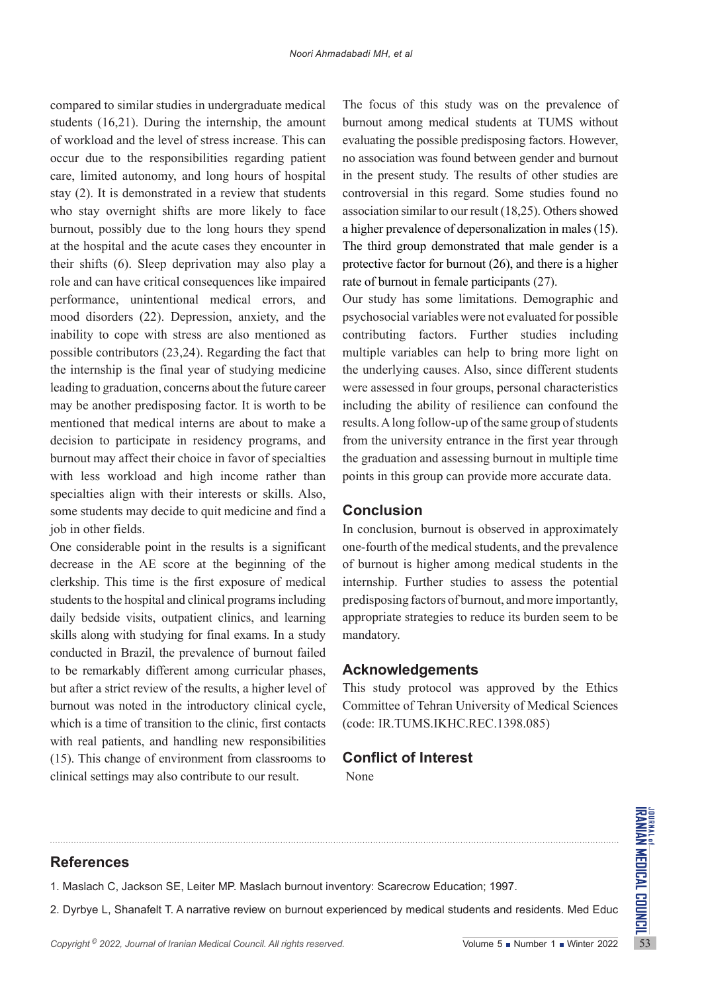compared to similar studies in undergraduate medical students (16,21). During the internship, the amount of workload and the level of stress increase. This can occur due to the responsibilities regarding patient care, limited autonomy, and long hours of hospital stay (2). It is demonstrated in a review that students who stay overnight shifts are more likely to face burnout, possibly due to the long hours they spend at the hospital and the acute cases they encounter in their shifts (6). Sleep deprivation may also play a role and can have critical consequences like impaired performance, unintentional medical errors, and mood disorders (22). Depression, anxiety, and the inability to cope with stress are also mentioned as possible contributors (23,24). Regarding the fact that the internship is the final year of studying medicine leading to graduation, concerns about the future career may be another predisposing factor. It is worth to be mentioned that medical interns are about to make a decision to participate in residency programs, and burnout may affect their choice in favor of specialties with less workload and high income rather than specialties align with their interests or skills. Also, some students may decide to quit medicine and find a job in other fields.

One considerable point in the results is a significant decrease in the AE score at the beginning of the clerkship. This time is the first exposure of medical students to the hospital and clinical programs including daily bedside visits, outpatient clinics, and learning skills along with studying for final exams. In a study conducted in Brazil, the prevalence of burnout failed to be remarkably different among curricular phases, but after a strict review of the results, a higher level of burnout was noted in the introductory clinical cycle, which is a time of transition to the clinic, first contacts with real patients, and handling new responsibilities (15). This change of environment from classrooms to clinical settings may also contribute to our result.

The focus of this study was on the prevalence of burnout among medical students at TUMS without evaluating the possible predisposing factors. However, no association was found between gender and burnout in the present study. The results of other studies are controversial in this regard. Some studies found no association similar to our result (18,25). Others showed a higher prevalence of depersonalization in males (15). The third group demonstrated that male gender is a protective factor for burnout (26), and there is a higher rate of burnout in female participants (27).

Our study has some limitations. Demographic and psychosocial variables were not evaluated for possible contributing factors. Further studies including multiple variables can help to bring more light on the underlying causes. Also, since different students were assessed in four groups, personal characteristics including the ability of resilience can confound the results. A long follow-up of the same group of students from the university entrance in the first year through the graduation and assessing burnout in multiple time points in this group can provide more accurate data.

# **Conclusion**

In conclusion, burnout is observed in approximately one-fourth of the medical students, and the prevalence of burnout is higher among medical students in the internship. Further studies to assess the potential predisposing factors of burnout, and more importantly, appropriate strategies to reduce its burden seem to be mandatory.

## **Acknowledgements**

This study protocol was approved by the Ethics Committee of Tehran University of Medical Sciences (code: IR.TUMS.IKHC.REC.1398.085)

# **Conflict of Interest**

None

# **References**

1. Maslach C, Jackson SE, Leiter MP. Maslach burnout inventory: Scarecrow Education; 1997.

**Copyright ∂** 2022, *Journal of Iranian Medical Council. All rights reserved.* Volume 5 ∎ Number 1 ■ Winter 2022<br>
Copyright <sup>®</sup> 2022, *Journal of Iranian Medical Council. All rights reserved.* Volume 5 ∎ Number 1 ■ Winter 2. Dyrbye L, Shanafelt T. A narrative review on burnout experienced by medical students and residents. Med Educ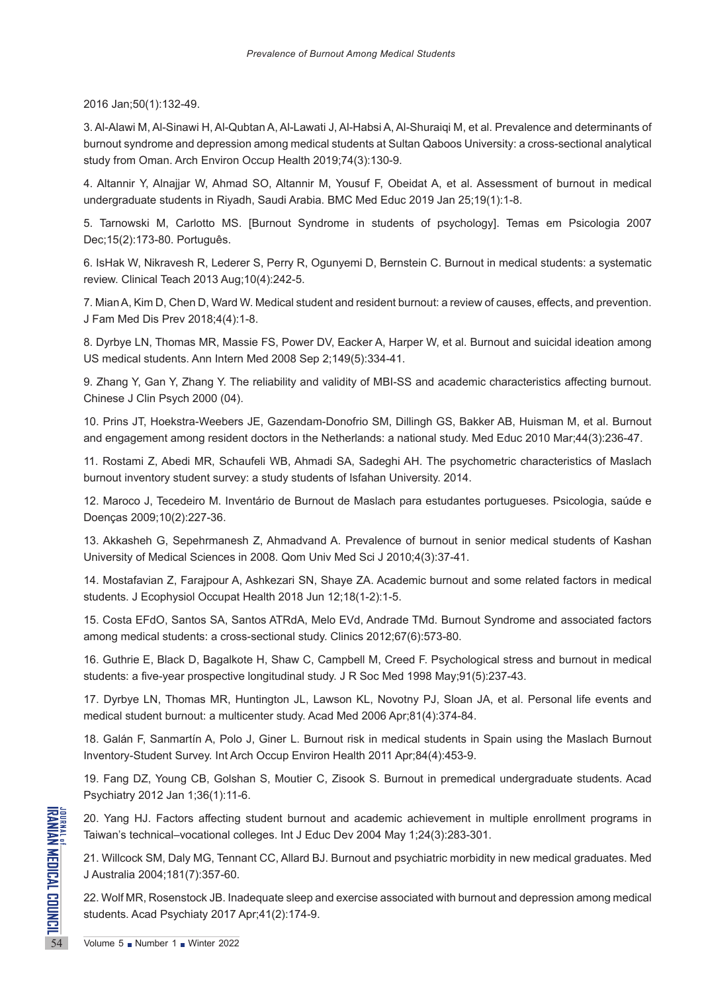2016 Jan;50(1):132-49.

3. Al-Alawi M, Al-Sinawi H, Al-Qubtan A, Al-Lawati J, Al-Habsi A, Al-Shuraiqi M, et al. Prevalence and determinants of burnout syndrome and depression among medical students at Sultan Qaboos University: a cross-sectional analytical study from Oman. Arch Environ Occup Health 2019;74(3):130-9.

4. Altannir Y, Alnajjar W, Ahmad SO, Altannir M, Yousuf F, Obeidat A, et al. Assessment of burnout in medical undergraduate students in Riyadh, Saudi Arabia. BMC Med Educ 2019 Jan 25;19(1):1-8.

5. Tarnowski M, Carlotto MS. [Burnout Syndrome in students of psychology]. Temas em Psicologia 2007 Dec;15(2):173-80. Português.

6. IsHak W, Nikravesh R, Lederer S, Perry R, Ogunyemi D, Bernstein C. Burnout in medical students: a systematic review. Clinical Teach 2013 Aug;10(4):242-5.

7. Mian A, Kim D, Chen D, Ward W. Medical student and resident burnout: a review of causes, effects, and prevention. J Fam Med Dis Prev 2018;4(4):1-8.

8. Dyrbye LN, Thomas MR, Massie FS, Power DV, Eacker A, Harper W, et al. Burnout and suicidal ideation among US medical students. Ann Intern Med 2008 Sep 2;149(5):334-41.

9. Zhang Y, Gan Y, Zhang Y. The reliability and validity of MBI-SS and academic characteristics affecting burnout. Chinese J Clin Psych 2000 (04).

10. Prins JT, Hoekstra-Weebers JE, Gazendam-Donofrio SM, Dillingh GS, Bakker AB, Huisman M, et al. Burnout and engagement among resident doctors in the Netherlands: a national study. Med Educ 2010 Mar;44(3):236-47.

11. Rostami Z, Abedi MR, Schaufeli WB, Ahmadi SA, Sadeghi AH. The psychometric characteristics of Maslach burnout inventory student survey: a study students of Isfahan University. 2014.

12. Maroco J, Tecedeiro M. Inventário de Burnout de Maslach para estudantes portugueses. Psicologia, saúde e Doenças 2009;10(2):227-36.

13. Akkasheh G, Sepehrmanesh Z, Ahmadvand A. Prevalence of burnout in senior medical students of Kashan University of Medical Sciences in 2008. Qom Univ Med Sci J 2010;4(3):37-41.

14. Mostafavian Z, Farajpour A, Ashkezari SN, Shaye ZA. Academic burnout and some related factors in medical students. J Ecophysiol Occupat Health 2018 Jun 12;18(1-2):1-5.

15. Costa EFdO, Santos SA, Santos ATRdA, Melo EVd, Andrade TMd. Burnout Syndrome and associated factors among medical students: a cross-sectional study. Clinics 2012;67(6):573-80.

16. Guthrie E, Black D, Bagalkote H, Shaw C, Campbell M, Creed F. Psychological stress and burnout in medical students: a five-year prospective longitudinal study. J R Soc Med 1998 May;91(5):237-43.

17. Dyrbye LN, Thomas MR, Huntington JL, Lawson KL, Novotny PJ, Sloan JA, et al. Personal life events and medical student burnout: a multicenter study. Acad Med 2006 Apr;81(4):374-84.

18. Galán F, Sanmartín A, Polo J, Giner L. Burnout risk in medical students in Spain using the Maslach Burnout Inventory-Student Survey. Int Arch Occup Environ Health 2011 Apr;84(4):453-9.

19. Fang DZ, Young CB, Golshan S, Moutier C, Zisook S. Burnout in premedical undergraduate students. Acad Psychiatry 2012 Jan 1;36(1):11-6.

20. Yang HJ. Factors affecting student burnout and academic achievement in multiple enrollment programs in Taiwan's technical–vocational colleges. Int J Educ Dev 2004 May 1;24(3):283-301.

**EXAMPLE 20. Yang HJ. Factors affecting<br>
Taiwan's technical-vocational compared to the SM Party<br>
31. Willcock SM, Daly MG, Tenn<br>
3 Australia 2004;181(7):357-60.<br>
22. Wolf MR, Rosenstock JB. Ina<br>
students. Acad Psychiaty 20** 21. Willcock SM, Daly MG, Tennant CC, Allard BJ. Burnout and psychiatric morbidity in new medical graduates. Med J Australia 2004;181(7):357-60.

22. Wolf MR, Rosenstock JB. Inadequate sleep and exercise associated with burnout and depression among medical students. Acad Psychiaty 2017 Apr;41(2):174-9.